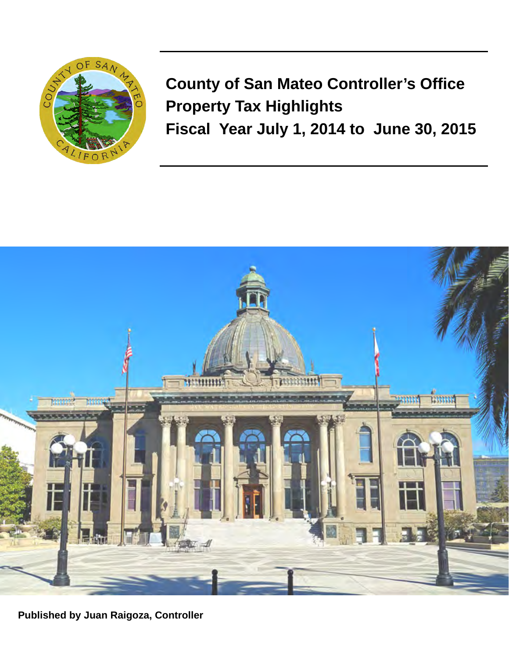

**County of San Mateo Controller's Office Property Tax Highlights Fiscal Year July 1, 2014 to June 30, 2015** 



**Published by Juan Raigoza, Controller**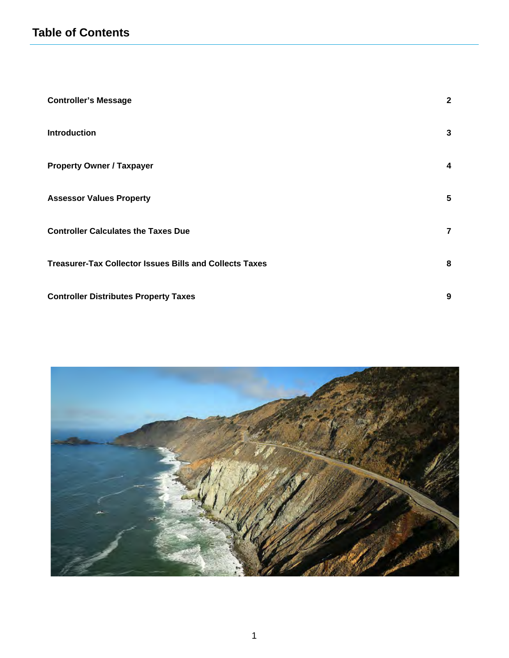| <b>Controller's Message</b>                                    | $\mathbf{2}$   |
|----------------------------------------------------------------|----------------|
| <b>Introduction</b>                                            | 3              |
| <b>Property Owner / Taxpayer</b>                               | 4              |
| <b>Assessor Values Property</b>                                | 5              |
| <b>Controller Calculates the Taxes Due</b>                     | $\overline{7}$ |
| <b>Treasurer-Tax Collector Issues Bills and Collects Taxes</b> | 8              |
| <b>Controller Distributes Property Taxes</b>                   | 9              |

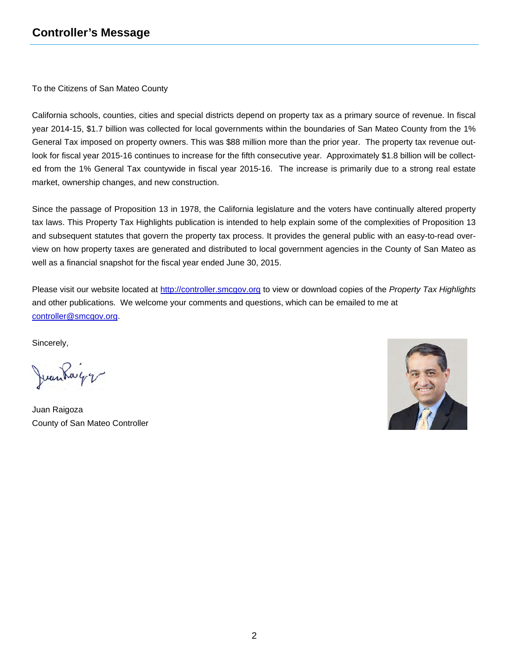To the Citizens of San Mateo County

California schools, counties, cities and special districts depend on property tax as a primary source of revenue. In fiscal year 2014-15, \$1.7 billion was collected for local governments within the boundaries of San Mateo County from the 1% General Tax imposed on property owners. This was \$88 million more than the prior year. The property tax revenue outlook for fiscal year 2015-16 continues to increase for the fifth consecutive year. Approximately \$1.8 billion will be collected from the 1% General Tax countywide in fiscal year 2015-16. The increase is primarily due to a strong real estate market, ownership changes, and new construction.

Since the passage of Proposition 13 in 1978, the California legislature and the voters have continually altered property tax laws. This Property Tax Highlights publication is intended to help explain some of the complexities of Proposition 13 and subsequent statutes that govern the property tax process. It provides the general public with an easy-to-read overview on how property taxes are generated and distributed to local government agencies in the County of San Mateo as well as a financial snapshot for the fiscal year ended June 30, 2015.

Please visit our website located at <http://controller.smcgov.org>to view or download copies of the *Property Tax Highlights* and other publications. We welcome your comments and questions, which can be emailed to me at [controller@smcgov.org.](mailto:controller@smcgov.org)

Sincerely,

Juankayy

Juan Raigoza County of San Mateo Controller

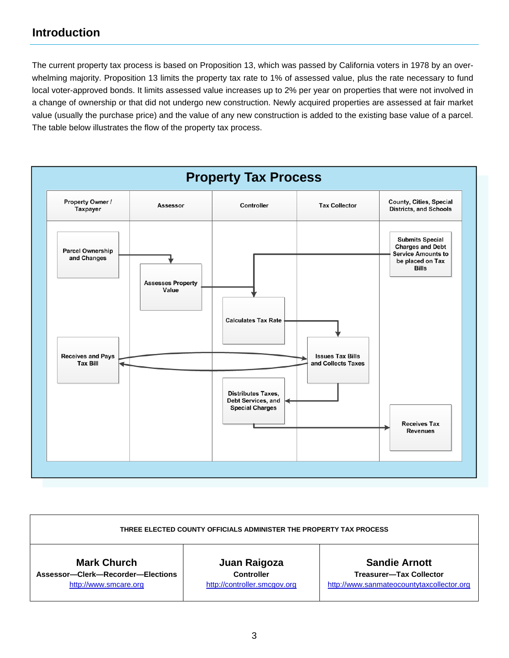The current property tax process is based on Proposition 13, which was passed by California voters in 1978 by an overwhelming majority. Proposition 13 limits the property tax rate to 1% of assessed value, plus the rate necessary to fund local voter-approved bonds. It limits assessed value increases up to 2% per year on properties that were not involved in a change of ownership or that did not undergo new construction. Newly acquired properties are assessed at fair market value (usually the purchase price) and the value of any new construction is added to the existing base value of a parcel. The table below illustrates the flow of the property tax process.



| THREE ELECTED COUNTY OFFICIALS ADMINISTER THE PROPERTY TAX PROCESS |                              |                                           |  |  |
|--------------------------------------------------------------------|------------------------------|-------------------------------------------|--|--|
| <b>Mark Church</b>                                                 | Juan Raigoza                 | <b>Sandie Arnott</b>                      |  |  |
| Assessor-Clerk-Recorder-Elections                                  | <b>Controller</b>            | <b>Treasurer-Tax Collector</b>            |  |  |
| http://www.smcare.org                                              | http://controller.smcgov.org | http://www.sanmateocountytaxcollector.org |  |  |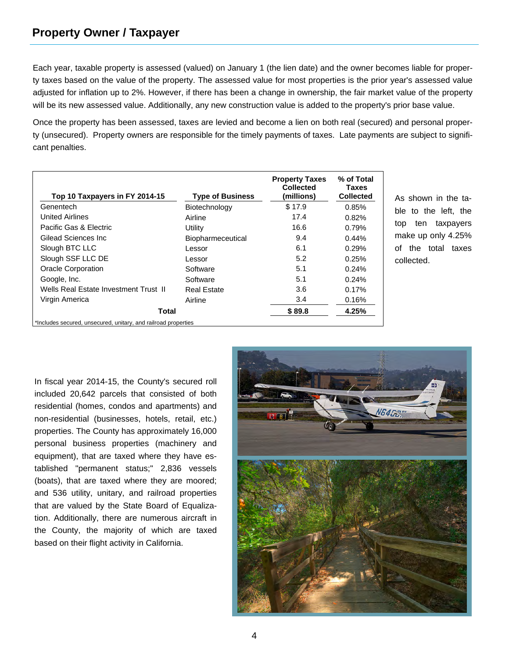Each year, taxable property is assessed (valued) on January 1 (the lien date) and the owner becomes liable for property taxes based on the value of the property. The assessed value for most properties is the prior year's assessed value adjusted for inflation up to 2%. However, if there has been a change in ownership, the fair market value of the property will be its new assessed value. Additionally, any new construction value is added to the property's prior base value.

Once the property has been assessed, taxes are levied and become a lien on both real (secured) and personal property (unsecured). Property owners are responsible for the timely payments of taxes. Late payments are subject to significant penalties.

| Top 10 Taxpayers in FY 2014-15                                 | <b>Type of Business</b>  | <b>Property Taxes</b><br><b>Collected</b><br>(millions) | % of Total<br>Taxes<br><b>Collected</b> |
|----------------------------------------------------------------|--------------------------|---------------------------------------------------------|-----------------------------------------|
| Genentech                                                      | Biotechnology            | \$17.9                                                  | 0.85%                                   |
| <b>United Airlines</b>                                         | Airline                  | 17.4                                                    | 0.82%                                   |
| Pacific Gas & Electric                                         | Utility                  | 16.6                                                    | 0.79%                                   |
| Gilead Sciences Inc.                                           | <b>Biopharmeceutical</b> | 9.4                                                     | 0.44%                                   |
| Slough BTC LLC                                                 | Lessor                   | 6.1                                                     | 0.29%                                   |
| Slough SSF LLC DE                                              | Lessor                   | 5.2                                                     | 0.25%                                   |
| <b>Oracle Corporation</b>                                      | Software                 | 5.1                                                     | 0.24%                                   |
| Google, Inc.                                                   | Software                 | 5.1                                                     | 0.24%                                   |
| Wells Real Estate Investment Trust II                          | Real Estate              | 3.6                                                     | 0.17%                                   |
| Virgin America                                                 | Airline                  | 3.4                                                     | 0.16%                                   |
| Total                                                          |                          | \$89.8                                                  | 4.25%                                   |
| *Includes secured, unsecured, unitary, and railroad properties |                          |                                                         |                                         |

As shown in the table to the left, the top ten taxpayers make up only 4.25% of the total taxes collected.

In fiscal year 2014-15, the County's secured roll included 20,642 parcels that consisted of both residential (homes, condos and apartments) and non-residential (businesses, hotels, retail, etc.) properties. The County has approximately 16,000 personal business properties (machinery and equipment), that are taxed where they have established "permanent status;" 2,836 vessels (boats), that are taxed where they are moored; and 536 utility, unitary, and railroad properties that are valued by the State Board of Equalization. Additionally, there are numerous aircraft in the County, the majority of which are taxed based on their flight activity in California.

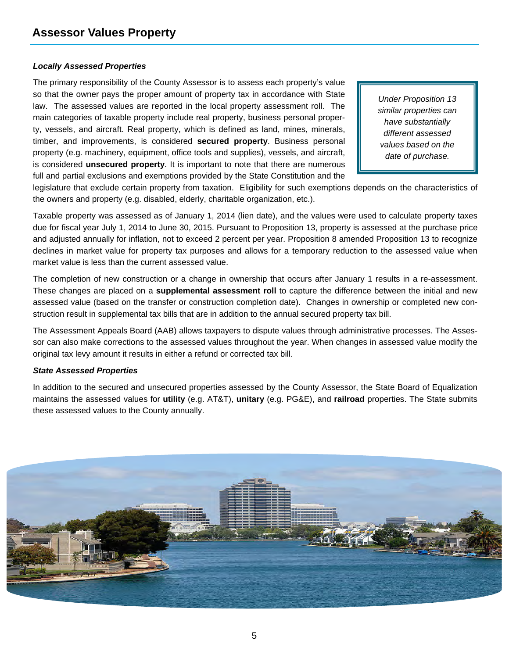#### *Locally Assessed Properties*

The primary responsibility of the County Assessor is to assess each property's value so that the owner pays the proper amount of property tax in accordance with State law. The assessed values are reported in the local property assessment roll. The main categories of taxable property include real property, business personal property, vessels, and aircraft. Real property, which is defined as land, mines, minerals, timber, and improvements, is considered **secured property**. Business personal property (e.g. machinery, equipment, office tools and supplies), vessels, and aircraft, is considered **unsecured property**. It is important to note that there are numerous full and partial exclusions and exemptions provided by the State Constitution and the

*Under Proposition 13 similar properties can have substantially different assessed values based on the date of purchase.* 

legislature that exclude certain property from taxation. Eligibility for such exemptions depends on the characteristics of the owners and property (e.g. disabled, elderly, charitable organization, etc.).

Taxable property was assessed as of January 1, 2014 (lien date), and the values were used to calculate property taxes due for fiscal year July 1, 2014 to June 30, 2015. Pursuant to Proposition 13, property is assessed at the purchase price and adjusted annually for inflation, not to exceed 2 percent per year. Proposition 8 amended Proposition 13 to recognize declines in market value for property tax purposes and allows for a temporary reduction to the assessed value when market value is less than the current assessed value.

The completion of new construction or a change in ownership that occurs after January 1 results in a re-assessment. These changes are placed on a **supplemental assessment roll** to capture the difference between the initial and new assessed value (based on the transfer or construction completion date). Changes in ownership or completed new construction result in supplemental tax bills that are in addition to the annual secured property tax bill.

The Assessment Appeals Board (AAB) allows taxpayers to dispute values through administrative processes. The Assessor can also make corrections to the assessed values throughout the year. When changes in assessed value modify the original tax levy amount it results in either a refund or corrected tax bill.

#### *State Assessed Properties*

In addition to the secured and unsecured properties assessed by the County Assessor, the State Board of Equalization maintains the assessed values for **utility** (e.g. AT&T), **unitary** (e.g. PG&E), and **railroad** properties. The State submits these assessed values to the County annually.

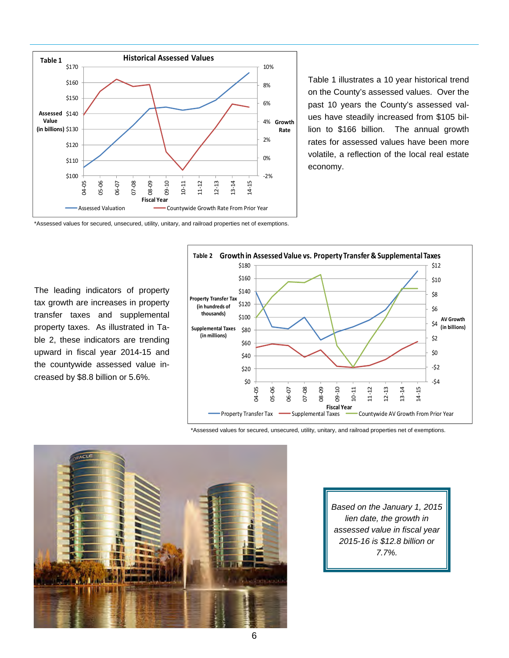

Table 1 illustrates a 10 year historical trend on the County's assessed values. Over the past 10 years the County's assessed values have steadily increased from \$105 billion to \$166 billion. The annual growth rates for assessed values have been more volatile, a reflection of the local real estate economy.

\*Assessed values for secured, unsecured, utility, unitary, and railroad properties net of exemptions.

The leading indicators of property tax growth are increases in property transfer taxes and supplemental property taxes. As illustrated in Table 2, these indicators are trending upward in fiscal year 2014-15 and the countywide assessed value increased by \$8.8 billion or 5.6%.



\*Assessed values for secured, unsecured, utility, unitary, and railroad properties net of exemptions.



*Based on the January 1, 2015 lien date, the growth in assessed value in fiscal year 2015-16 is \$12.8 billion or 7.7%.*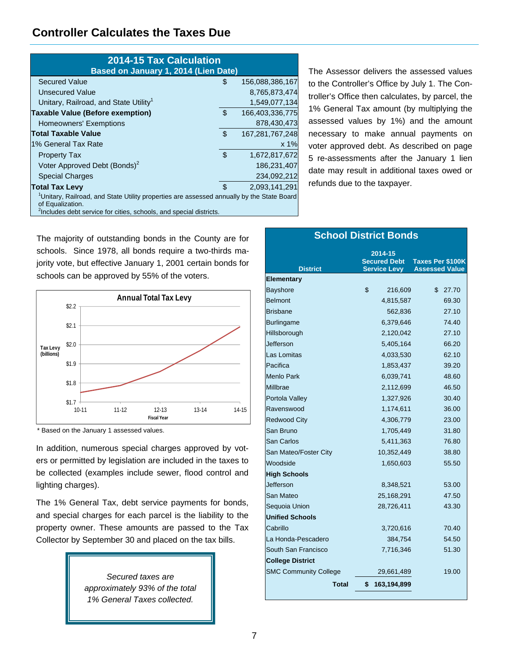## **Controller Calculates the Taxes Due**

| <b>2014-15 Tax Calculation</b><br>Based on January 1, 2014 (Lien Date)                                                                                                                                      |     |                 |
|-------------------------------------------------------------------------------------------------------------------------------------------------------------------------------------------------------------|-----|-----------------|
| <b>Secured Value</b>                                                                                                                                                                                        | S   | 156,088,386,167 |
| Unsecured Value                                                                                                                                                                                             |     | 8,765,873,474   |
| Unitary, Railroad, and State Utility <sup>1</sup>                                                                                                                                                           |     | 1,549,077,134   |
| <b>Taxable Value (Before exemption)</b>                                                                                                                                                                     | \$  | 166,403,336,775 |
| <b>Homeowners' Exemptions</b>                                                                                                                                                                               |     | 878,430,473     |
| <b>Total Taxable Value</b>                                                                                                                                                                                  | \$  | 167,281,767,248 |
| 1% General Tax Rate                                                                                                                                                                                         |     | x 1%            |
| <b>Property Tax</b>                                                                                                                                                                                         | \$. | 1,672,817,672   |
| Voter Approved Debt (Bonds) <sup>2</sup>                                                                                                                                                                    |     | 186,231,407     |
| <b>Special Charges</b>                                                                                                                                                                                      |     | 234,092,212     |
| <b>Total Tax Levy</b>                                                                                                                                                                                       | \$. | 2,093,141,291   |
| <sup>1</sup> Unitary, Railroad, and State Utility properties are assessed annually by the State Board<br>of Equalization.<br><sup>2</sup> Includes debt service for cities, schools, and special districts. |     |                 |

The Assessor delivers the assessed values to the Controller's Office by July 1. The Controller's Office then calculates, by parcel, the 1% General Tax amount (by multiplying the assessed values by 1%) and the amount necessary to make annual payments on voter approved debt. As described on page 5 re-assessments after the January 1 lien date may result in additional taxes owed or refunds due to the taxpayer.

The majority of outstanding bonds in the County are for schools. Since 1978, all bonds require a two-thirds majority vote, but effective January 1, 2001 certain bonds for schools can be approved by 55% of the voters.



\* Based on the January 1 assessed values.

In addition, numerous special charges approved by voters or permitted by legislation are included in the taxes to be collected (examples include sewer, flood control and lighting charges).

The 1% General Tax, debt service payments for bonds, and special charges for each parcel is the liability to the property owner. These amounts are passed to the Tax Collector by September 30 and placed on the tax bills.

> *Secured taxes are approximately 93% of the total 1% General Taxes collected.*

|                              | <b>School District Bonds</b>                          |                                                  |
|------------------------------|-------------------------------------------------------|--------------------------------------------------|
| <b>District</b>              | 2014-15<br><b>Secured Debt</b><br><b>Service Levy</b> | <b>Taxes Per \$100K</b><br><b>Assessed Value</b> |
| <b>Elementary</b>            |                                                       |                                                  |
| <b>Bayshore</b>              | \$<br>216,609                                         | \$<br>27.70                                      |
| Belmont                      | 4,815,587                                             | 69.30                                            |
| <b>Brisbane</b>              | 562,836                                               | 27.10                                            |
| <b>Burlingame</b>            | 6,379,646                                             | 74.40                                            |
| Hillsborough                 | 2,120,042                                             | 27.10                                            |
| Jefferson                    | 5,405,164                                             | 66.20                                            |
| Las Lomitas                  | 4,033,530                                             | 62.10                                            |
| Pacifica                     | 1,853,437                                             | 39.20                                            |
| <b>Menlo Park</b>            | 6,039,741                                             | 48.60                                            |
| Millbrae                     | 2,112,699                                             | 46.50                                            |
| Portola Valley               | 1,327,926                                             | 30.40                                            |
| Ravenswood                   | 1,174,611                                             | 36.00                                            |
| <b>Redwood City</b>          | 4,306,779                                             | 23.00                                            |
| San Bruno                    | 1,705,449                                             | 31.80                                            |
| San Carlos                   | 5,411,363                                             | 76.80                                            |
| San Mateo/Foster City        | 10,352,449                                            | 38.80                                            |
| Woodside                     | 1,650,603                                             | 55.50                                            |
| <b>High Schools</b>          |                                                       |                                                  |
| Jefferson                    | 8,348,521                                             | 53.00                                            |
| <b>San Mateo</b>             | 25,168,291                                            | 47.50                                            |
| Sequoia Union                | 28,726,411                                            | 43.30                                            |
| <b>Unified Schools</b>       |                                                       |                                                  |
| Cabrillo                     | 3,720,616                                             | 70.40                                            |
| La Honda-Pescadero           | 384,754                                               | 54.50                                            |
| South San Francisco          | 7,716,346                                             | 51.30                                            |
| <b>College District</b>      |                                                       |                                                  |
| <b>SMC Community College</b> | 29,661,489                                            | 19.00                                            |
| <b>Total</b>                 | \$<br>163,194,899                                     |                                                  |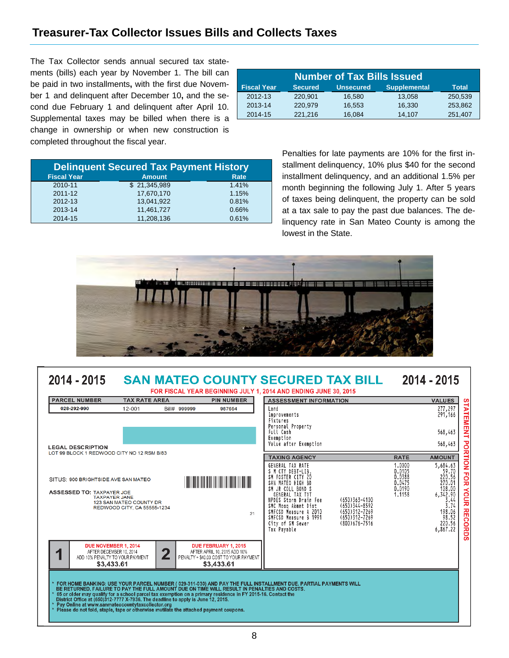## **Treasurer-Tax Collector Issues Bills and Collects Taxes**

The Tax Collector sends annual secured tax statements (bills) each year by November 1. The bill can be paid in two installments**,** with the first due November 1 and delinquent after December 10**,** and the second due February 1 and delinquent after April 10. Supplemental taxes may be billed when there is a change in ownership or when new construction is completed throughout the fiscal year.

| <b>Number of Tax Bills Issued</b> |                |                  |                     |              |  |  |
|-----------------------------------|----------------|------------------|---------------------|--------------|--|--|
| <b>Fiscal Year</b>                | <b>Secured</b> | <b>Unsecured</b> | <b>Supplemental</b> | <b>Total</b> |  |  |
| 2012-13                           | 220,901        | 16,580           | 13,058              | 250,539      |  |  |
| 2013-14                           | 220.979        | 16.553           | 16,330              | 253.862      |  |  |
| 2014-15                           | 221,216        | 16,084           | 14.107              | 251,407      |  |  |

| <b>Delinguent Secured Tax Payment History</b> |               |       |  |  |  |  |
|-----------------------------------------------|---------------|-------|--|--|--|--|
| <b>Fiscal Year</b>                            | <b>Amount</b> | Rate  |  |  |  |  |
| 2010-11                                       | \$21,345,989  | 1.41% |  |  |  |  |
| $2011 - 12$                                   | 17,670,170    | 1.15% |  |  |  |  |
| 2012-13                                       | 13,041,922    | 0.81% |  |  |  |  |
| 2013-14                                       | 11.461.727    | 0.66% |  |  |  |  |
| 2014-15                                       | 11,208,136    | 0.61% |  |  |  |  |

Penalties for late payments are 10% for the first installment delinquency, 10% plus \$40 for the second installment delinquency, and an additional 1.5% per month beginning the following July 1. After 5 years of taxes being delinquent, the property can be sold at a tax sale to pay the past due balances. The delinquency rate in San Mateo County is among the lowest in the State.



#### 2014 - 2015 2014 - 2015 **SAN MATEO COUNTY SECURED TAX BILL** FOR FISCAL YEAR BEGINNING JULY 1, 2014 AND ENDING JUNE 30, 2015 **PARCEL NUMBER TAX RATE AREA PIN NUMBER ASSESSMENT INFORMATION VALUES** 277,297<br>291,166 **TATEM** 028-292-990 12-001 Bill# 999999 987654 Land Improvements Fixtures Personal Property **TENT** Full Cash 568,463 Exemption **POR** 568,463 Value after Exemption **LEGAL DESCRIPTION** LOT 99 BLOCK 1 REDWOOD CITY NO 12 RSM B/83 **TAXING AGENCY RATE AMOUNT** ğ 5,684.63 GENERAL TAX RATE 1.0000  $0.0105$ <br> $0.0388$  $\frac{59.70}{220.56}$ M CTY DEBT-LIB FOR SM FOSTER CITY 20<br>SAN MATEO HIGH BD SITHS: 900 BRIGHTSIDE AVE SAN MATEO **THE REAL PROPERTY OF STATE** 270.01 0.0475 SM JR COLL BOND S 0.0190 **NouR** ASSESSED TO: TAXPAYER JOE  $6, 342.90$ <br> $3.44$ <br> $3.74$ 1.1158 TAXPATER JOHN<br>TAXPAYER JANE<br>123 SAN MATEO COUNTY DR<br>REDWOOD CITY, CA 55555-1234 NPDES Storm Drain Fee  $(650)363 - 4100$ SMC Mosq Abmnt Dist<br>SMC Mosq Abmnt Dist<br>SMFCSD Measure A 2010<br>SMFCSD Measure B 1991 (650)344-8592<br>(650)312-7269<br>(650)312-7269 198.06 **RECORDS**  $21$ 98.52 220.56 City of SM Sewer<br>Tax Payable (800)676-7516 6,867.22 DUE NOVEMBER 1, 2014 DUE FEBRUARY 1, 2015  $\overline{2}$ AFTER DECEMBER 10 2014 AFTER APRIL 10, 2015 ADD 10% 1 ADD 10% PENALTY TO YOUR PAYMENT PENALTY + \$40.00 COST TO YOUR PAYMENT \$3,433.61 \$3,433.61 FOR HOME BANKING: USE YOUR PARCEL NUMBER ( 029-311-030) AND PAY THE FULL INSTALLMENT DUE. PARTIAL PAYMENTS WILL<br>BE RETURNED. FAILURE TO PAY THE FULL AMOUNT DUE ON TIME WILL RESULT IN PENALTIES AND COSTS.<br>65 or older may qu Pay Online at www.sanmateocountytaxcollector.org<br>Please do not fold, staple, tape or otherwise mutilate the attached payment coupons.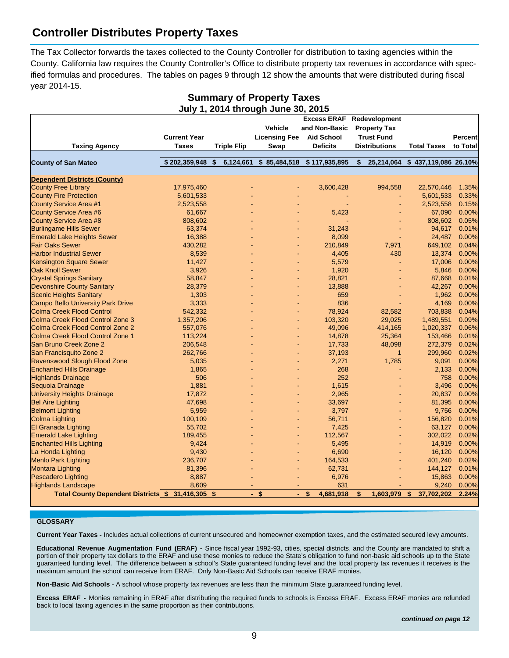## **Controller Distributes Property Taxes**

The Tax Collector forwards the taxes collected to the County Controller for distribution to taxing agencies within the County. California law requires the County Controller's Office to distribute property tax revenues in accordance with specified formulas and procedures. The tables on pages 9 through 12 show the amounts that were distributed during fiscal year 2014-15.

|                                                   |                     |                    | July 1, 2014 through June 30, 2015 |                     |                      |                      |                |
|---------------------------------------------------|---------------------|--------------------|------------------------------------|---------------------|----------------------|----------------------|----------------|
|                                                   |                     |                    |                                    | <b>Excess ERAF</b>  | Redevelopment        |                      |                |
|                                                   |                     |                    | <b>Vehicle</b>                     | and Non-Basic       | <b>Property Tax</b>  |                      |                |
|                                                   | <b>Current Year</b> |                    | <b>Licensing Fee</b>               | <b>Aid School</b>   | <b>Trust Fund</b>    |                      | <b>Percent</b> |
| <b>Taxing Agency</b>                              | <b>Taxes</b>        | <b>Triple Flip</b> | Swap                               | <b>Deficits</b>     | <b>Distributions</b> | <b>Total Taxes</b>   | to Total       |
|                                                   |                     |                    |                                    |                     |                      |                      |                |
| <b>County of San Mateo</b>                        | \$202,359,948       | 6,124,661<br>S.    | \$85,484,518                       | \$117,935,895       | \$<br>25,214,064     | \$437,119,086 26.10% |                |
| <b>Dependent Districts (County)</b>               |                     |                    |                                    |                     |                      |                      |                |
| <b>County Free Library</b>                        | 17,975,460          |                    |                                    | 3,600,428           | 994,558              | 22,570,446           | 1.35%          |
| <b>County Fire Protection</b>                     | 5,601,533           |                    |                                    |                     |                      | 5,601,533            | 0.33%          |
| County Service Area #1                            | 2,523,558           |                    |                                    |                     |                      | 2,523,558            | 0.15%          |
| <b>County Service Area #6</b>                     | 61,667              |                    |                                    | 5,423               |                      | 67,090               | 0.00%          |
| <b>County Service Area #8</b>                     | 808,602             |                    |                                    |                     |                      | 808,602              | 0.05%          |
| <b>Burlingame Hills Sewer</b>                     | 63,374              |                    |                                    | 31,243              |                      | 94,617               | 0.01%          |
| <b>Emerald Lake Heights Sewer</b>                 | 16,388              |                    |                                    | 8,099               |                      | 24,487               | 0.00%          |
| <b>Fair Oaks Sewer</b>                            | 430,282             |                    |                                    | 210,849             | 7,971                | 649,102              | 0.04%          |
| <b>Harbor Industrial Sewer</b>                    | 8,539               |                    |                                    | 4,405               | 430                  | 13,374               | 0.00%          |
| <b>Kensington Square Sewer</b>                    | 11,427              |                    |                                    | 5,579               |                      | 17,006               | 0.00%          |
| <b>Oak Knoll Sewer</b>                            | 3,926               |                    |                                    | 1,920               |                      | 5,846                | 0.00%          |
| <b>Crystal Springs Sanitary</b>                   | 58,847              |                    |                                    | 28,821              |                      | 87,668               | 0.01%          |
| <b>Devonshire County Sanitary</b>                 | 28,379              |                    |                                    | 13,888              |                      | 42,267               | 0.00%          |
| <b>Scenic Heights Sanitary</b>                    | 1,303               |                    |                                    | 659                 |                      | 1,962                | 0.00%          |
| <b>Campo Bello University Park Drive</b>          | 3,333               |                    |                                    | 836                 |                      | 4,169                | 0.00%          |
| <b>Colma Creek Flood Control</b>                  | 542,332             |                    |                                    | 78,924              | 82,582               | 703,838              | 0.04%          |
| Colma Creek Flood Control Zone 3                  | 1,357,206           |                    |                                    | 103,320             | 29,025               | 1,489,551            | 0.09%          |
| Colma Creek Flood Control Zone 2                  | 557,076             |                    |                                    | 49,096              | 414,165              | 1,020,337            | 0.06%          |
| Colma Creek Flood Control Zone 1                  | 113,224             |                    |                                    | 14,878              | 25,364               | 153,466              | 0.01%          |
| San Bruno Creek Zone 2                            | 206,548             |                    |                                    | 17,733              | 48,098               | 272,379              | 0.02%          |
| San Francisquito Zone 2                           | 262,766             |                    |                                    | 37,193              | $\overline{1}$       | 299,960              | 0.02%          |
| Ravenswood Slough Flood Zone                      | 5,035               |                    |                                    | 2,271               | 1,785                | 9,091                | 0.00%          |
| <b>Enchanted Hills Drainage</b>                   | 1,865               |                    |                                    | 268                 |                      | 2,133                | 0.00%          |
| <b>Highlands Drainage</b>                         | 506                 |                    |                                    | 252                 |                      | 758                  | 0.00%          |
| Sequoia Drainage                                  | 1,881               |                    |                                    | 1,615               |                      | 3,496                | 0.00%          |
| <b>University Heights Drainage</b>                | 17,872              |                    |                                    | 2,965               |                      | 20,837               | 0.00%          |
| <b>Bel Aire Lighting</b>                          | 47,698              |                    |                                    | 33,697              |                      | 81,395               | 0.00%          |
| <b>Belmont Lighting</b>                           | 5,959               |                    |                                    | 3,797               |                      | 9,756                | 0.00%          |
| <b>Colma Lighting</b>                             | 100,109             |                    |                                    | 56,711              |                      | 156,820              | 0.01%          |
| <b>El Granada Lighting</b>                        | 55,702              |                    |                                    | 7,425               |                      | 63,127               | 0.00%          |
| <b>Emerald Lake Lighting</b>                      | 189,455             |                    |                                    | 112,567             |                      | 302,022              | 0.02%          |
| <b>Enchanted Hills Lighting</b>                   | 9,424               |                    |                                    | 5,495               |                      | 14,919               | 0.00%          |
| La Honda Lighting                                 | 9,430               |                    |                                    | 6,690               |                      | 16,120               | 0.00%          |
| <b>Menlo Park Lighting</b>                        | 236,707             |                    |                                    | 164,533             |                      | 401,240              | 0.02%          |
| <b>Montara Lighting</b>                           | 81,396              |                    |                                    | 62,731              |                      | 144,127              | 0.01%          |
| <b>Pescadero Lighting</b>                         | 8,887               |                    |                                    | 6,976               |                      | 15,863               | 0.00%          |
| <b>Highlands Landscape</b>                        | 8,609               |                    |                                    | 631                 |                      | 9,240                | 0.00%          |
| Total County Dependent Districts \$ 31,416,305 \$ |                     |                    | $-$ \$                             | $-$ \$<br>4,681,918 | \$<br>1,603,979 \$   | 37,702,202           | 2.24%          |
|                                                   |                     |                    |                                    |                     |                      |                      |                |

# **Summary of Property Taxes**

#### **GLOSSARY**

**Current Year Taxes -** Includes actual collections of current unsecured and homeowner exemption taxes, and the estimated secured levy amounts.

**Educational Revenue Augmentation Fund (ERAF) -** Since fiscal year 1992-93, cities, special districts, and the County are mandated to shift a portion of their property tax dollars to the ERAF and use these monies to reduce the State's obligation to fund non-basic aid schools up to the State guaranteed funding level. The difference between a school's State guaranteed funding level and the local property tax revenues it receives is the maximum amount the school can receive from ERAF. Only Non-Basic Aid Schools can receive ERAF monies.

**Non-Basic Aid Schools** - A school whose property tax revenues are less than the minimum State guaranteed funding level.

**Excess ERAF -** Monies remaining in ERAF after distributing the required funds to schools is Excess ERAF. Excess ERAF monies are refunded back to local taxing agencies in the same proportion as their contributions.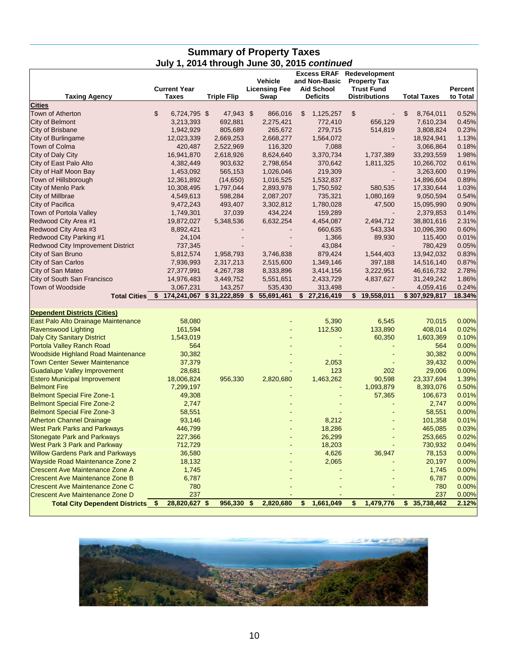### **Summary of Property Taxes July 1, 2014 through June 30, 2015** *continued*

| <b>Taxing Agency</b>                      | <b>Current Year</b><br><b>Taxes</b>       | <b>Triple Flip</b> | Vehicle<br><b>Licensing Fee</b><br>Swap | <b>Excess ERAF</b><br>and Non-Basic<br><b>Aid School</b><br><b>Deficits</b> | Redevelopment<br><b>Property Tax</b><br><b>Trust Fund</b><br><b>Distributions</b> | <b>Total Taxes</b> | Percent<br>to Total |
|-------------------------------------------|-------------------------------------------|--------------------|-----------------------------------------|-----------------------------------------------------------------------------|-----------------------------------------------------------------------------------|--------------------|---------------------|
| <b>Cities</b>                             |                                           |                    |                                         |                                                                             |                                                                                   |                    |                     |
| <b>Town of Atherton</b>                   | \$<br>6,724,795 \$                        | 47,943 \$          | 866,016                                 | 1,125,257<br>\$                                                             | $\mathfrak{S}$                                                                    | \$<br>8,764,011    | 0.52%               |
| City of Belmont                           | 3,213,393                                 | 692,881            | 2,275,421                               | 772,410                                                                     | 656,129                                                                           | 7,610,234          | 0.45%               |
| City of Brisbane                          | 1,942,929                                 | 805,689            | 265,672                                 | 279,715                                                                     | 514,819                                                                           | 3,808,824          | 0.23%               |
| City of Burlingame                        | 12,023,339                                | 2,669,253          | 2,668,277                               | 1,564,072                                                                   |                                                                                   | 18,924,941         | 1.13%               |
| Town of Colma                             | 420,487                                   | 2,522,969          | 116,320                                 | 7,088                                                                       |                                                                                   | 3,066,864          | 0.18%               |
| City of Daly City                         | 16,941,870                                | 2,618,926          | 8,624,640                               | 3,370,734                                                                   | 1,737,389                                                                         | 33,293,559         | 1.98%               |
| City of East Palo Alto                    | 4,382,449                                 | 903,632            | 2,798,654                               | 370,642                                                                     | 1,811,325                                                                         | 10,266,702         | 0.61%               |
| City of Half Moon Bay                     | 1,453,092                                 | 565,153            | 1,026,046                               | 219,309                                                                     |                                                                                   | 3,263,600          | 0.19%               |
| Town of Hillsborough                      | 12,361,892                                | (14,650)           | 1,016,525                               | 1,532,837                                                                   |                                                                                   | 14,896,604         | 0.89%               |
| <b>City of Menlo Park</b>                 | 10,308,495                                | 1,797,044          | 2,893,978                               | 1,750,592                                                                   | 580,535                                                                           | 17,330,644         | 1.03%               |
| City of Millbrae                          | 4,549,613                                 | 598,284            | 2,087,207                               | 735,321                                                                     | 1,080,169                                                                         | 9,050,594          | 0.54%               |
| City of Pacifica                          | 9,472,243                                 | 493,407            | 3,302,812                               | 1,780,028                                                                   | 47,500                                                                            | 15,095,990         | 0.90%               |
| Town of Portola Valley                    | 1,749,301                                 | 37,039             | 434,224                                 | 159,289                                                                     |                                                                                   | 2,379,853          | 0.14%               |
| Redwood City Area #1                      | 19,872,027                                | 5,348,536          | 6,632,254                               | 4,454,087                                                                   | 2,494,712                                                                         | 38,801,616         | 2.31%               |
| Redwood City Area #3                      | 8,892,421                                 |                    |                                         | 660,635                                                                     | 543,334                                                                           | 10,096,390         | 0.60%               |
| Redwood City Parking #1                   | 24,104                                    |                    |                                         | 1,366                                                                       | 89,930                                                                            | 115,400            | 0.01%               |
| <b>Redwood City Improvement District</b>  | 737,345                                   |                    |                                         | 43,084                                                                      |                                                                                   | 780,429            | 0.05%               |
| City of San Bruno                         | 5,812,574                                 | 1,958,793          | 3,746,838                               | 879,424                                                                     | 1,544,403                                                                         | 13,942,032         | 0.83%               |
| City of San Carlos                        | 7,936,993                                 | 2,317,213          | 2,515,600                               | 1,349,146                                                                   | 397,188                                                                           | 14,516,140         | 0.87%               |
| City of San Mateo                         | 27,377,991                                | 4,267,738          | 8,333,896                               | 3,414,156                                                                   | 3,222,951                                                                         | 46,616,732         | 2.78%               |
| City of South San Francisco               | 14,976,483                                | 3,449,752          | 5,551,651                               | 2,433,729                                                                   | 4,837,627                                                                         | 31,249,242         | 1.86%               |
| <b>Town of Woodside</b>                   | 3,067,231                                 | 143,257            | 535,430                                 | 313,498                                                                     |                                                                                   | 4,059,416          | 0.24%               |
|                                           | Total Cities \$ 174,241,067 \$ 31,222,859 |                    | 55,691,461<br>\$                        | \$27,216,419                                                                | \$19,558,011                                                                      | \$307,929,817      |                     |
|                                           |                                           |                    |                                         |                                                                             |                                                                                   |                    | 18.34%              |
|                                           |                                           |                    |                                         |                                                                             |                                                                                   |                    |                     |
| <b>Dependent Districts (Cities)</b>       |                                           |                    |                                         |                                                                             |                                                                                   |                    |                     |
| East Palo Alto Drainage Maintenance       | 58,080                                    |                    |                                         | 5,390                                                                       | 6,545                                                                             | 70,015             | 0.00%               |
| <b>Ravenswood Lighting</b>                | 161,594                                   |                    |                                         | 112,530                                                                     | 133,890                                                                           | 408,014            | 0.02%               |
| Daly City Sanitary District               | 1,543,019                                 |                    |                                         |                                                                             | 60,350                                                                            | 1,603,369          | 0.10%               |
| Portola Valley Ranch Road                 | 564                                       |                    |                                         |                                                                             |                                                                                   | 564                | 0.00%               |
| <b>Woodside Highland Road Maintenance</b> | 30,382                                    |                    |                                         |                                                                             |                                                                                   | 30,382             | 0.00%               |
| <b>Town Center Sewer Maintenance</b>      | 37,379                                    |                    |                                         | 2,053                                                                       |                                                                                   | 39,432             | 0.00%               |
| <b>Guadalupe Valley Improvement</b>       | 28,681                                    |                    |                                         | 123                                                                         | 202                                                                               | 29,006             | 0.00%               |
| <b>Estero Municipal Improvement</b>       | 18,006,824                                | 956,330            | 2,820,680                               | 1,463,262                                                                   | 90,598                                                                            | 23,337,694         | 1.39%               |
| <b>Belmont Fire</b>                       | 7,299,197                                 |                    |                                         |                                                                             | 1,093,879                                                                         | 8,393,076          | 0.50%               |
| <b>Belmont Special Fire Zone-1</b>        | 49,308                                    |                    |                                         |                                                                             | 57,365                                                                            | 106,673            | 0.01%               |
| <b>Belmont Special Fire Zone-2</b>        | 2,747                                     |                    |                                         |                                                                             |                                                                                   | 2,747              | 0.00%               |
| Belmont Special Fire Zone-3               | 58,551                                    |                    |                                         |                                                                             |                                                                                   | 58,551             | 0.00%               |
| <b>Atherton Channel Drainage</b>          | 93,146                                    |                    |                                         | 8,212                                                                       |                                                                                   | 101,358            | 0.01%               |
| <b>West Park Parks and Parkways</b>       | 446,799                                   |                    |                                         | 18,286                                                                      |                                                                                   | 465,085            | 0.03%               |
| <b>Stonegate Park and Parkways</b>        | 227,366                                   |                    |                                         | 26,299                                                                      | $\blacksquare$                                                                    | 253,665            | 0.02%               |
| <b>West Park 3 Park and Parkway</b>       | 712,729                                   |                    |                                         | 18,203                                                                      |                                                                                   | 730,932            | 0.04%               |
| <b>Willow Gardens Park and Parkways</b>   |                                           |                    |                                         | 4,626                                                                       | 36,947                                                                            | 78,153             |                     |
| <b>Wayside Road Maintenance Zone 2</b>    | 36,580<br>18,132                          |                    |                                         | 2,065                                                                       |                                                                                   | 20,197             | 0.00%<br>0.00%      |
| <b>Crescent Ave Maintenance Zone A</b>    | 1,745                                     |                    |                                         |                                                                             |                                                                                   | 1,745              | 0.00%               |
| <b>Crescent Ave Maintenance Zone B</b>    | 6,787                                     |                    |                                         |                                                                             |                                                                                   | 6,787              | 0.00%               |
| <b>Crescent Ave Maintenance Zone C</b>    | 780                                       |                    |                                         |                                                                             |                                                                                   | 780                | 0.00%               |
| <b>Crescent Ave Maintenance Zone D</b>    | 237                                       |                    |                                         |                                                                             |                                                                                   | 237                | 0.00%               |

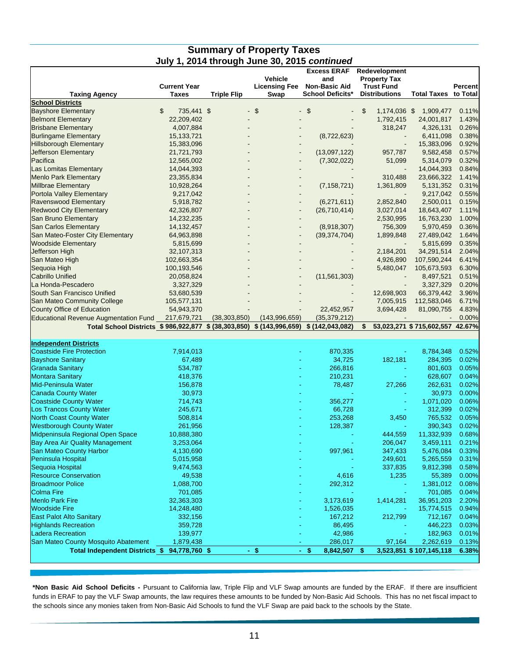#### **Summary of Property Taxes July 1, 2014 through June 30, 2015** *continued*

|                                                                       | <b>Current Year</b> |                    | <b>Vehicle</b><br><b>Licensing Fee</b> | <b>Excess ERAF</b><br>and<br><b>Non-Basic Aid</b> | Redevelopment<br><b>Property Tax</b><br><b>Trust Fund</b> |                                 | Percent |
|-----------------------------------------------------------------------|---------------------|--------------------|----------------------------------------|---------------------------------------------------|-----------------------------------------------------------|---------------------------------|---------|
| <b>Taxing Agency</b>                                                  | <b>Taxes</b>        | <b>Triple Flip</b> | Swap                                   | <b>School Deficits*</b>                           | <b>Distributions</b>                                      | <b>Total Taxes to Total</b>     |         |
| <b>School Districts</b>                                               |                     |                    |                                        |                                                   |                                                           |                                 |         |
| <b>Bayshore Elementary</b>                                            | \$<br>735,441 \$    |                    | $\mathfrak{S}$<br>$\blacksquare$       | - \$                                              | \$<br>1,174,036 \$                                        | 1,909,477                       | 0.11%   |
| <b>Belmont Elementary</b>                                             | 22,209,402          |                    |                                        |                                                   | 1,792,415                                                 | 24,001,817                      | 1.43%   |
| <b>Brisbane Elementary</b>                                            | 4,007,884           |                    |                                        |                                                   | 318,247                                                   | 4,326,131                       | 0.26%   |
| <b>Burlingame Elementary</b>                                          | 15, 133, 721        |                    |                                        | (8,722,623)                                       |                                                           | 6,411,098                       | 0.38%   |
| <b>Hillsborough Elementary</b>                                        | 15,383,096          |                    |                                        |                                                   |                                                           | 15,383,096                      | 0.92%   |
| Jefferson Elementary                                                  | 21,721,793          |                    | $\blacksquare$                         | (13,097,122)                                      | 957,787                                                   | 9,582,458                       | 0.57%   |
| Pacifica                                                              | 12,565,002          |                    |                                        | (7,302,022)                                       | 51,099                                                    | 5,314,079                       | 0.32%   |
| Las Lomitas Elementary                                                | 14,044,393          |                    |                                        |                                                   |                                                           | 14,044,393                      | 0.84%   |
| <b>Menlo Park Elementary</b>                                          | 23,355,834          |                    |                                        |                                                   | 310,488                                                   | 23,666,322                      | 1.41%   |
| Millbrae Elementary                                                   | 10,928,264          |                    |                                        | (7, 158, 721)                                     | 1,361,809                                                 | 5,131,352                       | 0.31%   |
| Portola Valley Elementary                                             | 9,217,042           |                    |                                        |                                                   |                                                           | 9,217,042                       | 0.55%   |
| Ravenswood Elementary                                                 | 5,918,782           |                    |                                        | (6,271,611)                                       | 2,852,840                                                 | 2,500,011                       | 0.15%   |
| <b>Redwood City Elementary</b>                                        | 42,326,807          |                    |                                        | (26,710,414)                                      | 3,027,014                                                 | 18,643,407                      | 1.11%   |
| San Bruno Elementary                                                  | 14,232,235          |                    |                                        |                                                   | 2,530,995                                                 | 16,763,230                      | 1.00%   |
| San Carlos Elementary                                                 | 14, 132, 457        |                    |                                        | (8,918,307)                                       | 756,309                                                   | 5,970,459                       | 0.36%   |
| San Mateo-Foster City Elementary                                      | 64,963,898          |                    |                                        | (39, 374, 704)                                    | 1,899,848                                                 | 27,489,042                      | 1.64%   |
| <b>Woodside Elementary</b>                                            | 5,815,699           |                    |                                        |                                                   |                                                           | 5,815,699                       | 0.35%   |
| <b>Jefferson High</b>                                                 | 32,107,313          |                    |                                        |                                                   | 2,184,201                                                 | 34,291,514                      | 2.04%   |
| San Mateo High                                                        | 102,663,354         |                    |                                        |                                                   | 4,926,890                                                 | 107,590,244                     | 6.41%   |
| Sequoia High                                                          | 100,193,546         |                    |                                        |                                                   | 5,480,047                                                 | 105,673,593                     | 6.30%   |
| <b>Cabrillo Unified</b>                                               | 20,058,824          |                    |                                        | (11, 561, 303)                                    |                                                           | 8,497,521                       | 0.51%   |
| La Honda-Pescadero                                                    | 3,327,329           |                    |                                        |                                                   |                                                           | 3,327,329                       | 0.20%   |
| South San Francisco Unified                                           | 53,680,539          |                    |                                        |                                                   | 12,698,903                                                | 66,379,442                      | 3.96%   |
| San Mateo Community College                                           | 105,577,131         |                    |                                        |                                                   | 7,005,915                                                 | 112,583,046                     | 6.71%   |
| County Office of Education                                            | 54,943,370          |                    |                                        | 22,452,957                                        | 3,694,428                                                 | 81,090,755                      | 4.83%   |
| <b>Educational Revenue Augmentation Fund</b>                          | 217,679,721         | (38, 303, 850)     | (143,996,659)                          | (35, 379, 212)                                    |                                                           |                                 | 0.00%   |
| Total School Districts \$986,922,877 \$ (38,303,850) \$ (143,996,659) |                     |                    |                                        | \$(142, 043, 082)                                 | \$                                                        | 53,023,271 \$715,602,557 42.67% |         |
|                                                                       |                     |                    |                                        |                                                   |                                                           |                                 |         |
| <b>Independent Districts</b>                                          |                     |                    |                                        |                                                   |                                                           |                                 |         |
| <b>Coastside Fire Protection</b>                                      | 7,914,013           |                    |                                        | 870,335                                           |                                                           | 8,784,348                       | 0.52%   |
| <b>Bayshore Sanitary</b>                                              | 67,489              |                    |                                        | 34,725                                            | 182,181                                                   | 284,395                         | 0.02%   |
| <b>Granada Sanitary</b>                                               | 534,787             |                    |                                        | 266,816                                           |                                                           | 801,603                         | 0.05%   |
| <b>Montara Sanitary</b>                                               | 418,376             |                    |                                        | 210,231                                           |                                                           | 628,607                         | 0.04%   |
| Mid-Peninsula Water                                                   | 156,878             |                    |                                        | 78,487                                            | 27,266                                                    | 262,631                         | 0.02%   |
| <b>Canada County Water</b>                                            | 30,973              |                    |                                        |                                                   |                                                           | 30,973                          | 0.00%   |
| <b>Coastside County Water</b>                                         | 714,743             |                    |                                        | 356,277                                           |                                                           | 1,071,020<br>÷                  | 0.06%   |
| Los Trancos County Water                                              | 245,671             |                    |                                        | 66,728                                            |                                                           | 312,399                         | 0.02%   |
| <b>North Coast County Water</b>                                       | 508,814             |                    |                                        | 253,268                                           | 3,450                                                     | 765,532                         | 0.05%   |
| <b>Westborough County Water</b>                                       | 261,956             |                    |                                        | 128,387                                           |                                                           | 390,343                         | 0.02%   |
| Midpeninsula Regional Open Space                                      | 10,888,380          |                    |                                        |                                                   | 444,559                                                   | 11,332,939                      | 0.68%   |
| <b>Bay Area Air Quality Management</b>                                | 3,253,064           |                    |                                        |                                                   | 206,047                                                   | 3,459,111                       | 0.21%   |
| San Mateo County Harbor                                               | 4,130,690           |                    |                                        | 997,961                                           | 347,433                                                   | 5,476,084                       | 0.33%   |
|                                                                       |                     |                    |                                        |                                                   |                                                           |                                 |         |
| Peninsula Hospital                                                    | 5,015,958           |                    |                                        |                                                   | 249,601                                                   | 5,265,559                       | 0.31%   |
| Sequoia Hospital                                                      | 9,474,563           |                    |                                        |                                                   | 337,835                                                   | 9,812,398                       | 0.58%   |
| <b>Resource Conservation</b>                                          | 49,538              |                    |                                        | 4,616                                             | 1,235                                                     | 55,389                          | 0.00%   |
| <b>Broadmoor Police</b>                                               | 1,088,700           |                    |                                        | 292,312                                           |                                                           | 1,381,012                       | 0.08%   |
| Colma Fire                                                            | 701,085             |                    |                                        |                                                   |                                                           | 701,085                         | 0.04%   |
| <b>Menlo Park Fire</b>                                                | 32,363,303          |                    |                                        | 3,173,619                                         | 1,414,281                                                 | 36,951,203                      | 2.20%   |
| <b>Woodside Fire</b>                                                  | 14,248,480          |                    |                                        | 1,526,035                                         |                                                           | 15,774,515                      | 0.94%   |
| <b>East Palot Alto Sanitary</b>                                       | 332,156             |                    |                                        | 167,212                                           | 212,799                                                   | 712,167                         | 0.04%   |
| <b>Highlands Recreation</b>                                           | 359,728             |                    |                                        | 86,495                                            |                                                           | 446,223                         | 0.03%   |
| <b>Ladera Recreation</b>                                              | 139,977             |                    |                                        | 42,986                                            |                                                           | 182,963                         | 0.01%   |
| San Mateo County Mosquito Abatement                                   | 1,879,438           |                    |                                        | 286,017                                           | 97,164                                                    | 2,262,619                       | 0.13%   |
| Total Independent Districts \$ 94,778,760 \$                          |                     |                    | $-$ \$                                 | \$<br>8,842,507<br>$\bullet$ .                    | \$                                                        | 3,523,851 \$ 107,145,118        | 6.38%   |
|                                                                       |                     |                    |                                        |                                                   |                                                           |                                 |         |

**\*Non Basic Aid School Deficits -** Pursuant to California law, Triple Flip and VLF Swap amounts are funded by the ERAF. If there are insufficient funds in ERAF to pay the VLF Swap amounts, the law requires these amounts to be funded by Non-Basic Aid Schools. This has no net fiscal impact to the schools since any monies taken from Non-Basic Aid Schools to fund the VLF Swap are paid back to the schools by the State.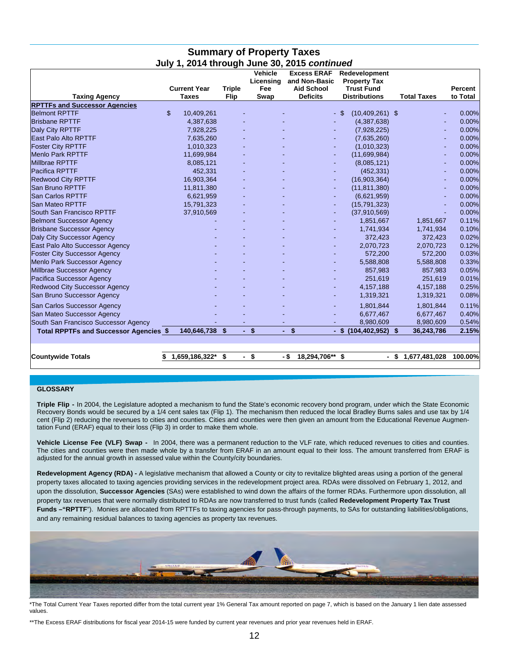|                                               | <b>Current Year</b> | <b>Triple</b> | <b>Vehicle</b><br>Licensing<br>Fee | <b>Excess ERAF</b><br>and Non-Basic<br><b>Aid School</b> | Redevelopment<br><b>Property Tax</b><br><b>Trust Fund</b> |                       | Percent  |
|-----------------------------------------------|---------------------|---------------|------------------------------------|----------------------------------------------------------|-----------------------------------------------------------|-----------------------|----------|
| <b>Taxing Agency</b>                          | <b>Taxes</b>        | Flip          | Swap                               | <b>Deficits</b>                                          | <b>Distributions</b>                                      | <b>Total Taxes</b>    | to Total |
| <b>RPTTFs and Successor Agencies</b>          |                     |               |                                    |                                                          |                                                           |                       |          |
| <b>Belmont RPTTF</b>                          | \$<br>10,409,261    |               |                                    |                                                          | $(10,409,261)$ \$<br>-\$                                  |                       | 0.00%    |
| <b>Brisbane RPTTF</b>                         | 4,387,638           |               |                                    |                                                          | (4,387,638)                                               |                       | 0.00%    |
| Daly City RPTTF                               | 7,928,225           |               |                                    |                                                          | (7,928,225)                                               |                       | 0.00%    |
| <b>East Palo Alto RPTTF</b>                   | 7,635,260           |               |                                    |                                                          | (7,635,260)                                               |                       | 0.00%    |
| <b>Foster City RPTTF</b>                      | 1,010,323           |               |                                    |                                                          | (1,010,323)                                               |                       | 0.00%    |
| <b>Menlo Park RPTTF</b>                       | 11,699,984          |               |                                    |                                                          | (11,699,984)                                              |                       | 0.00%    |
| <b>Millbrae RPTTF</b>                         | 8,085,121           |               |                                    |                                                          | (8,085,121)                                               |                       | 0.00%    |
| <b>Pacifica RPTTF</b>                         | 452,331             |               |                                    |                                                          | (452, 331)                                                |                       | 0.00%    |
| <b>Redwood City RPTTF</b>                     | 16,903,364          |               |                                    | ÷                                                        | (16,903,364)                                              |                       | 0.00%    |
| <b>San Bruno RPTTF</b>                        | 11,811,380          |               |                                    |                                                          | (11, 811, 380)                                            |                       | 0.00%    |
| <b>San Carlos RPTTF</b>                       | 6,621,959           |               |                                    |                                                          | (6,621,959)                                               |                       | 0.00%    |
| San Mateo RPTTF                               | 15,791,323          |               |                                    |                                                          | (15, 791, 323)                                            |                       | 0.00%    |
| South San Francisco RPTTF                     | 37,910,569          |               |                                    |                                                          | (37,910,569)                                              |                       | 0.00%    |
| <b>Belmont Successor Agency</b>               |                     |               |                                    |                                                          | 1,851,667                                                 | 1,851,667             | 0.11%    |
| <b>Brisbane Successor Agency</b>              |                     |               |                                    |                                                          | 1,741,934                                                 | 1,741,934             | 0.10%    |
| Daly City Successor Agency                    |                     |               |                                    |                                                          | 372,423                                                   | 372,423               | 0.02%    |
| East Palo Alto Successor Agency               |                     |               |                                    |                                                          | 2,070,723                                                 | 2,070,723             | 0.12%    |
| <b>Foster City Successor Agency</b>           |                     |               |                                    |                                                          | 572,200                                                   | 572,200               | 0.03%    |
| Menlo Park Successor Agency                   |                     |               |                                    |                                                          | 5,588,808                                                 | 5,588,808             | 0.33%    |
| Millbrae Successor Agency                     |                     |               |                                    |                                                          | 857,983                                                   | 857,983               | 0.05%    |
| Pacifica Successor Agency                     |                     |               |                                    |                                                          | 251.619                                                   | 251.619               | 0.01%    |
| Redwood City Successor Agency                 |                     |               |                                    |                                                          | 4,157,188                                                 | 4,157,188             | 0.25%    |
| San Bruno Successor Agency                    |                     |               |                                    |                                                          | 1,319,321                                                 | 1,319,321             | 0.08%    |
| <b>San Carlos Successor Agency</b>            |                     |               |                                    |                                                          | 1.801.844                                                 | 1.801.844             | 0.11%    |
| San Mateo Successor Agency                    |                     |               |                                    |                                                          | 6,677,467                                                 | 6,677,467             | 0.40%    |
| South San Francisco Successor Agency          |                     |               |                                    |                                                          | 8,980,609                                                 | 8,980,609             | 0.54%    |
| <b>Total RPPTFs and Successor Agencies \$</b> | 140,646,738         | -\$           | $-$ \$                             | \$<br>$\sim$                                             | - \$<br>$(104, 402, 952)$ \$                              | 36,243,786            | 2.15%    |
|                                               |                     |               |                                    |                                                          |                                                           |                       |          |
| <b>Countywide Totals</b>                      | 1,659,186,322*      | \$            | \$<br>$\overline{\phantom{0}}$     | 18,294,706** \$<br>- \$                                  |                                                           | 1,677,481,028<br>- \$ | 100.00%  |

#### **Summary of Property Taxes July 1, 2014 through June 30, 2015** *continued*

#### **GLOSSARY**

**Triple Flip -** In 2004, the Legislature adopted a mechanism to fund the State's economic recovery bond program, under which the State Economic Recovery Bonds would be secured by a 1/4 cent sales tax (Flip 1). The mechanism then reduced the local Bradley Burns sales and use tax by 1/4 cent (Flip 2) reducing the revenues to cities and counties. Cities and counties were then given an amount from the Educational Revenue Augmentation Fund (ERAF) equal to their loss (Flip 3) in order to make them whole.

**Vehicle License Fee (VLF) Swap -** In 2004, there was a permanent reduction to the VLF rate, which reduced revenues to cities and counties. The cities and counties were then made whole by a transfer from ERAF in an amount equal to their loss. The amount transferred from ERAF is adjusted for the annual growth in assessed value within the County/city boundaries.

**Redevelopment Agency (RDA) -** A legislative mechanism that allowed a County or city to revitalize blighted areas using a portion of the general property taxes allocated to taxing agencies providing services in the redevelopment project area. RDAs were dissolved on February 1, 2012, and upon the dissolution, **Successor Agencies** (SAs) were established to wind down the affairs of the former RDAs. Furthermore upon dissolution, all property tax revenues that were normally distributed to RDAs are now transferred to trust funds (called **Redevelopment Property Tax Trust**  Funds -"RPTTF"). Monies are allocated from RPTTFs to taxing agencies for pass-through payments, to SAs for outstanding liabilities/obligations, and any remaining residual balances to taxing agencies as property tax revenues.



\*The Total Current Year Taxes reported differ from the total current year 1% General Tax amount reported on page 7, which is based on the January 1 lien date assessed values.

\*\*The Excess ERAF distributions for fiscal year 2014-15 were funded by current year revenues and prior year revenues held in ERAF.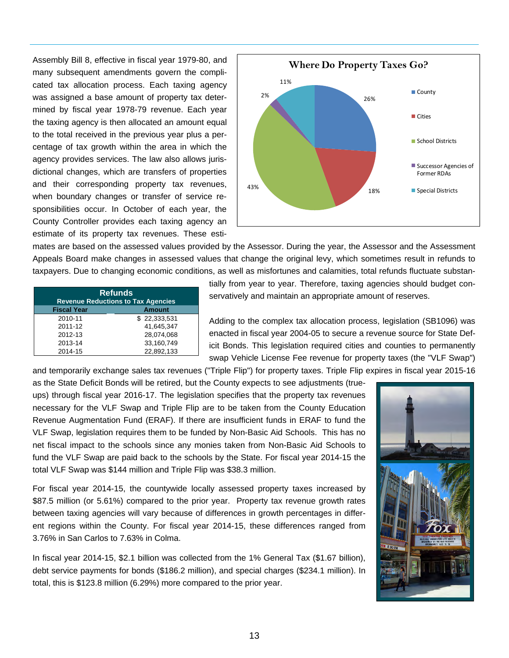Assembly Bill 8, effective in fiscal year 1979-80, and many subsequent amendments govern the complicated tax allocation process. Each taxing agency was assigned a base amount of property tax determined by fiscal year 1978-79 revenue. Each year the taxing agency is then allocated an amount equal to the total received in the previous year plus a percentage of tax growth within the area in which the agency provides services. The law also allows jurisdictional changes, which are transfers of properties and their corresponding property tax revenues, when boundary changes or transfer of service responsibilities occur. In October of each year, the County Controller provides each taxing agency an estimate of its property tax revenues. These esti-



mates are based on the assessed values provided by the Assessor. During the year, the Assessor and the Assessment Appeals Board make changes in assessed values that change the original levy, which sometimes result in refunds to taxpayers. Due to changing economic conditions, as well as misfortunes and calamities, total refunds fluctuate substan-

| <b>Refunds</b><br><b>Revenue Reductions to Tax Agencies</b> |               |  |  |  |
|-------------------------------------------------------------|---------------|--|--|--|
| <b>Fiscal Year</b>                                          | <b>Amount</b> |  |  |  |
| 2010-11                                                     | \$22,333,531  |  |  |  |
| 2011-12                                                     | 41.645.347    |  |  |  |
| 2012-13                                                     | 28.074.068    |  |  |  |
| 2013-14                                                     | 33,160,749    |  |  |  |
| 2014-15                                                     | 22,892,133    |  |  |  |

tially from year to year. Therefore, taxing agencies should budget conservatively and maintain an appropriate amount of reserves.

Adding to the complex tax allocation process, legislation (SB1096) was enacted in fiscal year 2004-05 to secure a revenue source for State Deficit Bonds. This legislation required cities and counties to permanently swap Vehicle License Fee revenue for property taxes (the "VLF Swap")

and temporarily exchange sales tax revenues ("Triple Flip") for property taxes. Triple Flip expires in fiscal year 2015-16

as the State Deficit Bonds will be retired, but the County expects to see adjustments (trueups) through fiscal year 2016-17. The legislation specifies that the property tax revenues necessary for the VLF Swap and Triple Flip are to be taken from the County Education Revenue Augmentation Fund (ERAF). If there are insufficient funds in ERAF to fund the VLF Swap, legislation requires them to be funded by Non-Basic Aid Schools. This has no net fiscal impact to the schools since any monies taken from Non-Basic Aid Schools to fund the VLF Swap are paid back to the schools by the State. For fiscal year 2014-15 the total VLF Swap was \$144 million and Triple Flip was \$38.3 million.

For fiscal year 2014-15, the countywide locally assessed property taxes increased by \$87.5 million (or 5.61%) compared to the prior year. Property tax revenue growth rates between taxing agencies will vary because of differences in growth percentages in different regions within the County. For fiscal year 2014-15, these differences ranged from 3.76% in San Carlos to 7.63% in Colma.

In fiscal year 2014-15, \$2.1 billion was collected from the 1% General Tax (\$1.67 billion), debt service payments for bonds (\$186.2 million), and special charges (\$234.1 million). In total, this is \$123.8 million (6.29%) more compared to the prior year.